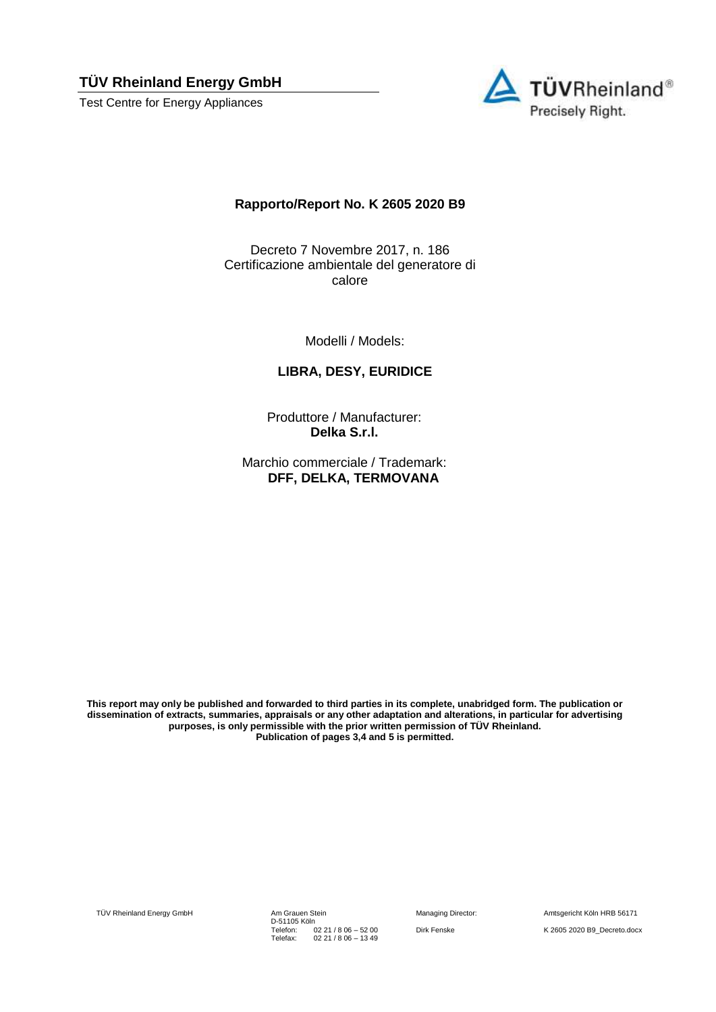**TÜV Rheinland Energy GmbH** 

Test Centre for Energy Appliances



## **Rapporto/Report No. K 2605 2020 B9**

Decreto 7 Novembre 2017, n. 186 Certificazione ambientale del generatore di calore

Modelli / Models:

## **LIBRA, DESY, EURIDICE**

Produttore / Manufacturer: **Delka S.r.l.**

Marchio commerciale / Trademark: **DFF, DELKA, TERMOVANA**

**This report may only be published and forwarded to third parties in its complete, unabridged form. The publication or dissemination of extracts, summaries, appraisals or any other adaptation and alterations, in particular for advertising purposes, is only permissible with the prior written permission of TÜV Rheinland. Publication of pages 3,4 and 5 is permitted.**

TÜV Rheinland Energy GmbH Am Grauen Stein

D-51105 Köln Telefon: Telefax: 02 21 / 8 06 – 52 00 02 21 / 8 06 – 13 49

Managing Director: Amtsgericht Köln HRB 56171 Dirk Fenske K 2605 2020 B9\_Decreto.docx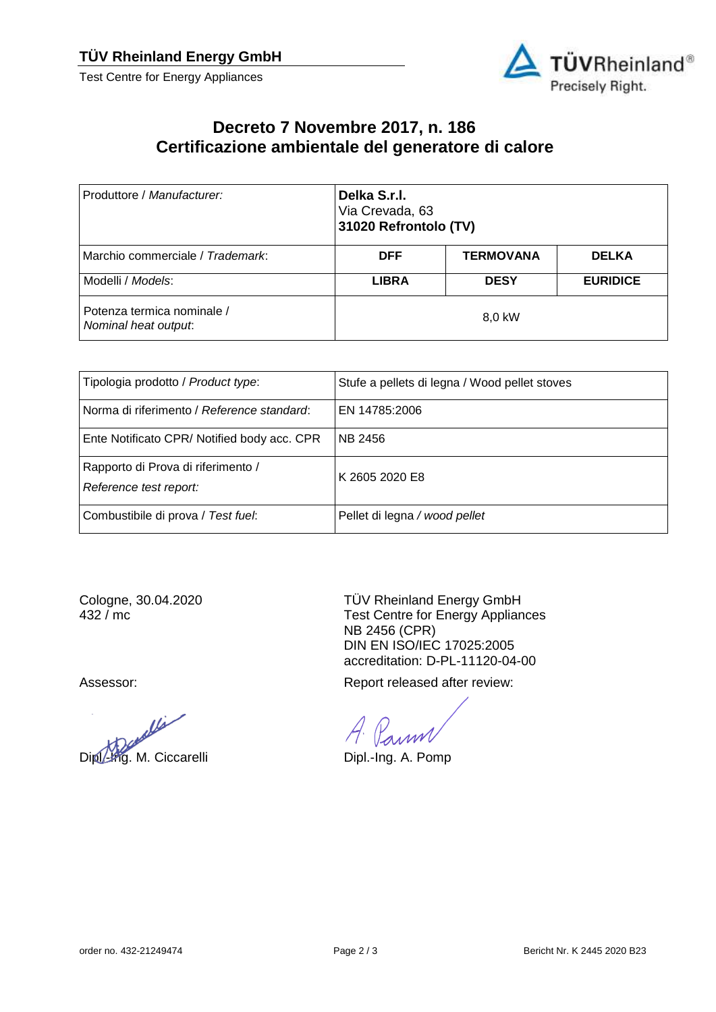Test Centre for Energy Appliances



## **Decreto 7 Novembre 2017, n. 186 Certificazione ambientale del generatore di calore**

| Produttore / Manufacturer:                         | Delka S.r.l.<br>Via Crevada, 63<br>31020 Refrontolo (TV) |                  |                 |  |
|----------------------------------------------------|----------------------------------------------------------|------------------|-----------------|--|
| Marchio commerciale / Trademark:                   | <b>DFF</b>                                               | <b>TERMOVANA</b> | <b>DELKA</b>    |  |
| Modelli / Models:                                  | <b>LIBRA</b>                                             | <b>DESY</b>      | <b>EURIDICE</b> |  |
| Potenza termica nominale /<br>Nominal heat output. | 8,0 kW                                                   |                  |                 |  |

| Tipologia prodotto / Product type:                           | Stufe a pellets di legna / Wood pellet stoves |
|--------------------------------------------------------------|-----------------------------------------------|
| Norma di riferimento / Reference standard:                   | EN 14785:2006                                 |
| Ente Notificato CPR/Notified body acc. CPR                   | <b>NB 2456</b>                                |
| Rapporto di Prova di riferimento /<br>Reference test report: | K 2605 2020 E8                                |
| Combustibile di prova / Test fuel:                           | Pellet di legna / wood pellet                 |

Cologne, 30.04.2020 432 / mc

Vi Dipl.-Ing. M. Ciccarelli Dipl.-Ing. A. Pomp

TÜV Rheinland Energy GmbH Test Centre for Energy Appliances NB 2456 (CPR) DIN EN ISO/IEC 17025:2005 accreditation: D-PL-11120-04-00

Assessor: Assessor: Assessor: Report released after review:

anm